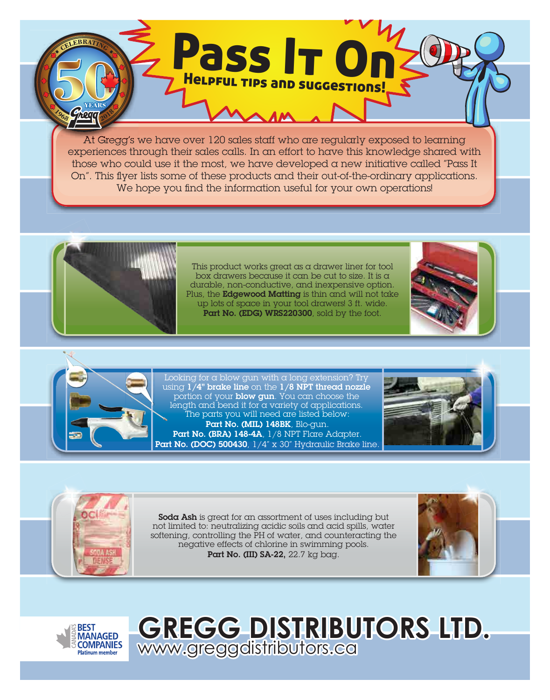At Gregg's we have over 120 sales staff who are regularly exposed to learning experiences through their sales calls. In an effort to have this knowledge shared with those who could use it the most, we have developed a new initiative called "Pass It On". This flyer lists some of these products and their out-of-the-ordinary applications. We hope you find the information useful for your own operations!

Pass It On

Helpful tips and suggestions!



This product works great as a drawer liner for tool box drawers because it can be cut to size. It is  $\alpha$ durable, non-conductive, and inexpensive option. Plus, the Edgewood Matting is thin and will not take up lots of space in your tool drawers! 3 ft. wide. Part No. (EDG) WRS220300, sold by the foot.









Soda Ash is great for an assortment of uses including but not limited to: neutralizing acidic soils and acid spills, water softening, controlling the PH of water, and counteracting the negative effects of chlorine in swimming pools. Part No. (III) SA-22, 22.7 kg bag.

www.greggdistributors.ca

**GREGG DISTRIBUTORS LTD.**